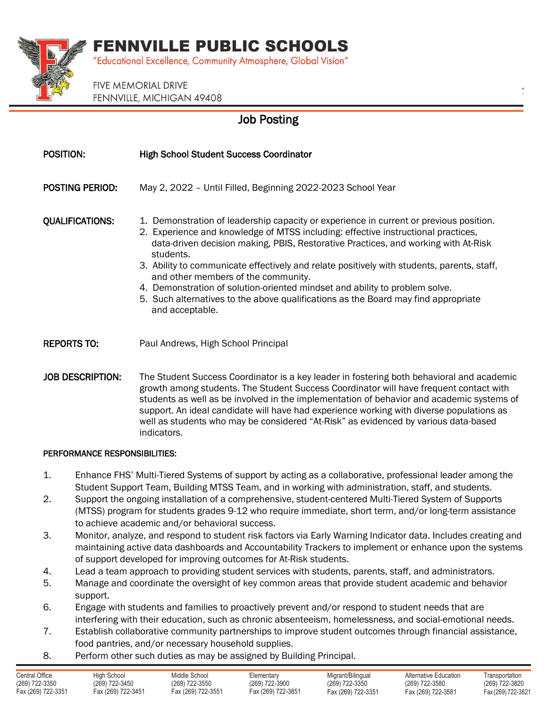## **FENNVILLE PUBLIC SCHOOLS**



"Educational Excellence, Community Atmosphere, Global Vision"

**FIVE MEMORIAL DRIVE** FENNVILLE, MICHIGAN 49408

### Job Posting

| POSITION:               | <b>High School Student Success Coordinator</b>                                                                                                                                                                                                                                                                                                                                                                                                                                                                                                                                                              |
|-------------------------|-------------------------------------------------------------------------------------------------------------------------------------------------------------------------------------------------------------------------------------------------------------------------------------------------------------------------------------------------------------------------------------------------------------------------------------------------------------------------------------------------------------------------------------------------------------------------------------------------------------|
| <b>POSTING PERIOD:</b>  | May 2, 2022 - Until Filled, Beginning 2022-2023 School Year                                                                                                                                                                                                                                                                                                                                                                                                                                                                                                                                                 |
| <b>QUALIFICATIONS:</b>  | 1. Demonstration of leadership capacity or experience in current or previous position.<br>2. Experience and knowledge of MTSS including: effective instructional practices,<br>data-driven decision making, PBIS, Restorative Practices, and working with At-Risk<br>students.<br>3. Ability to communicate effectively and relate positively with students, parents, staff,<br>and other members of the community.<br>4. Demonstration of solution-oriented mindset and ability to problem solve.<br>5. Such alternatives to the above qualifications as the Board may find appropriate<br>and acceptable. |
| <b>REPORTS TO:</b>      | Paul Andrews, High School Principal                                                                                                                                                                                                                                                                                                                                                                                                                                                                                                                                                                         |
| <b>JOB DESCRIPTION:</b> | The Student Success Coordinator is a key leader in fostering both behavioral and academic<br>growth among students. The Student Success Coordinator will have frequent contact with<br>students as well as be involved in the implementation of behavior and academic systems of<br>support. An ideal candidate will have had experience working with diverse populations as                                                                                                                                                                                                                                |

#### PERFORMANCE RESPONSIBILITIES:

indicators.

1. Enhance FHS' Multi-Tiered Systems of support by acting as a collaborative, professional leader among the Student Support Team, Building MTSS Team, and in working with administration, staff, and students.

well as students who may be considered "At-Risk" as evidenced by various data-based

- 2. Support the ongoing installation of a comprehensive, student-centered Multi-Tiered System of Supports (MTSS) program for students grades 9-12 who require immediate, short term, and/or long-term assistance to achieve academic and/or behavioral success.
- 3. Monitor, analyze, and respond to student risk factors via Early Warning Indicator data. Includes creating and maintaining active data dashboards and Accountability Trackers to implement or enhance upon the systems of support developed for improving outcomes for At-Risk students.
- 4. Lead a team approach to providing student services with students, parents, staff, and administrators.
- 5. Manage and coordinate the oversight of key common areas that provide student academic and behavior support.
- 6. Engage with students and families to proactively prevent and/or respond to student needs that are interfering with their education, such as chronic absenteeism, homelessness, and social-emotional needs.
- 7. Establish collaborative community partnerships to improve student outcomes through financial assistance, food pantries, and/or necessary household supplies.
- 8. Perform other such duties as may be assigned by Building Principal.